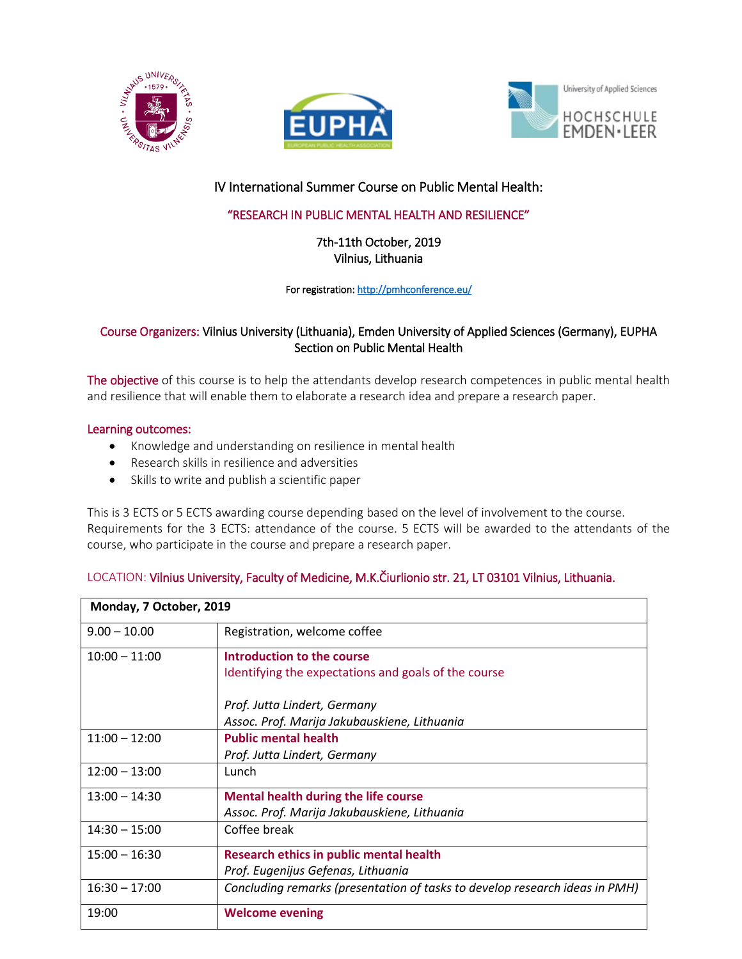





# IV International Summer Course on Public Mental Health:

## "RESEARCH IN PUBLIC MENTAL HEALTH AND RESILIENCE"

7th-11th October, 2019 Vilnius, Lithuania

For registration: http://pmhconference.eu/

### Course Organizers: Vilnius University (Lithuania), Emden University of Applied Sciences (Germany), EUPHA Section on Public Mental Health

The objective of this course is to help the attendants develop research competences in public mental health and resilience that will enable them to elaborate a research idea and prepare a research paper.

### Learning outcomes:

- Knowledge and understanding on resilience in mental health
- Research skills in resilience and adversities
- Skills to write and publish a scientific paper

This is 3 ECTS or 5 ECTS awarding course depending based on the level of involvement to the course. Requirements for the 3 ECTS: attendance of the course. 5 ECTS will be awarded to the attendants of the course, who participate in the course and prepare a research paper.

| Monday, 7 October, 2019 |                                                                             |  |
|-------------------------|-----------------------------------------------------------------------------|--|
| $9.00 - 10.00$          | Registration, welcome coffee                                                |  |
| $10:00 - 11:00$         | Introduction to the course                                                  |  |
|                         | Identifying the expectations and goals of the course                        |  |
|                         | Prof. Jutta Lindert, Germany                                                |  |
|                         | Assoc. Prof. Marija Jakubauskiene, Lithuania                                |  |
| $11:00 - 12:00$         | <b>Public mental health</b>                                                 |  |
|                         | Prof. Jutta Lindert, Germany                                                |  |
| $12:00 - 13:00$         | Lunch                                                                       |  |
| $13:00 - 14:30$         | Mental health during the life course                                        |  |
|                         | Assoc. Prof. Marija Jakubauskiene, Lithuania                                |  |
| $14:30 - 15:00$         | Coffee break                                                                |  |
| $15:00 - 16:30$         | Research ethics in public mental health                                     |  |
|                         | Prof. Eugenijus Gefenas, Lithuania                                          |  |
| $16:30 - 17:00$         | Concluding remarks (presentation of tasks to develop research ideas in PMH) |  |
| 19:00                   | <b>Welcome evening</b>                                                      |  |

## LOCATION: Vilnius University, Faculty of Medicine, M.K.Čiurlionio str. 21, LT 03101 Vilnius, Lithuania.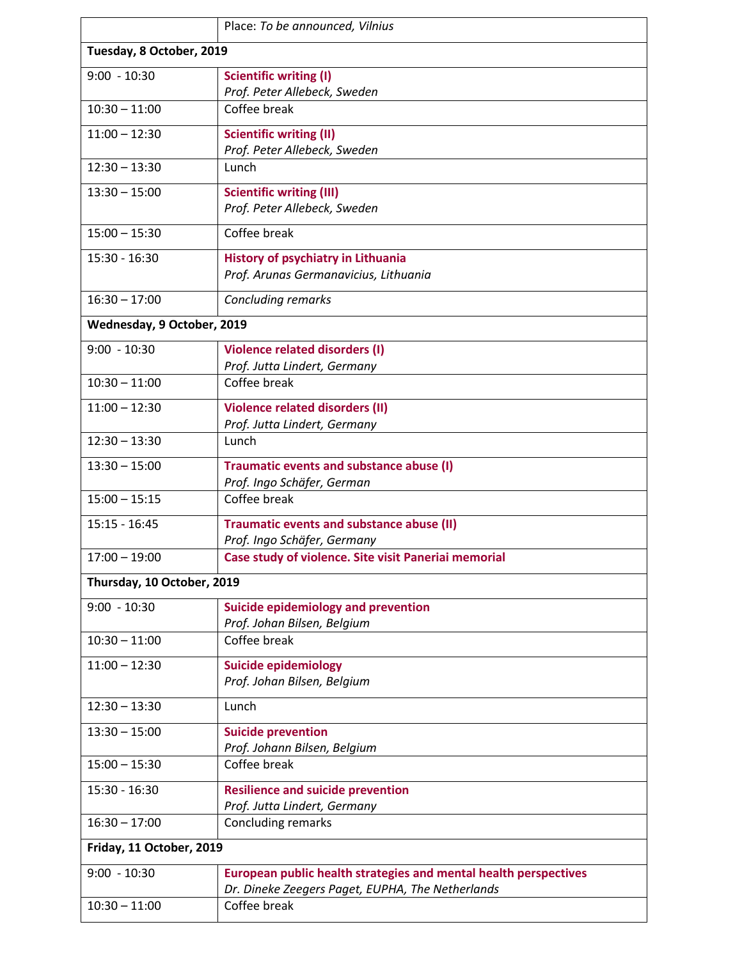|                            | Place: To be announced, Vilnius                                                    |  |  |  |
|----------------------------|------------------------------------------------------------------------------------|--|--|--|
| Tuesday, 8 October, 2019   |                                                                                    |  |  |  |
| $9:00 - 10:30$             | <b>Scientific writing (I)</b>                                                      |  |  |  |
|                            | Prof. Peter Allebeck, Sweden                                                       |  |  |  |
| $10:30 - 11:00$            | Coffee break                                                                       |  |  |  |
| $11:00 - 12:30$            | <b>Scientific writing (II)</b><br>Prof. Peter Allebeck, Sweden                     |  |  |  |
| $12:30 - 13:30$            | Lunch                                                                              |  |  |  |
| $13:30 - 15:00$            | <b>Scientific writing (III)</b><br>Prof. Peter Allebeck, Sweden                    |  |  |  |
| $15:00 - 15:30$            | Coffee break                                                                       |  |  |  |
| 15:30 - 16:30              | <b>History of psychiatry in Lithuania</b><br>Prof. Arunas Germanavicius, Lithuania |  |  |  |
| $16:30 - 17:00$            | Concluding remarks                                                                 |  |  |  |
| Wednesday, 9 October, 2019 |                                                                                    |  |  |  |
| $9:00 - 10:30$             | <b>Violence related disorders (I)</b>                                              |  |  |  |
|                            | Prof. Jutta Lindert, Germany                                                       |  |  |  |
| $10:30 - 11:00$            | Coffee break                                                                       |  |  |  |
| $11:00 - 12:30$            | <b>Violence related disorders (II)</b><br>Prof. Jutta Lindert, Germany             |  |  |  |
| $12:30 - 13:30$            | Lunch                                                                              |  |  |  |
| $13:30 - 15:00$            | Traumatic events and substance abuse (I)<br>Prof. Ingo Schäfer, German             |  |  |  |
| $15:00 - 15:15$            | Coffee break                                                                       |  |  |  |
| $15:15 - 16:45$            | Traumatic events and substance abuse (II)<br>Prof. Ingo Schäfer, Germany           |  |  |  |
| $17:00 - 19:00$            | Case study of violence. Site visit Paneriai memorial                               |  |  |  |
| Thursday, 10 October, 2019 |                                                                                    |  |  |  |
| $9:00 - 10:30$             | Suicide epidemiology and prevention                                                |  |  |  |
| $10:30 - 11:00$            | Prof. Johan Bilsen, Belgium<br>Coffee break                                        |  |  |  |
|                            |                                                                                    |  |  |  |
| $11:00 - 12:30$            | <b>Suicide epidemiology</b><br>Prof. Johan Bilsen, Belgium                         |  |  |  |
| $12:30 - 13:30$            | Lunch                                                                              |  |  |  |
| $13:30 - 15:00$            | <b>Suicide prevention</b><br>Prof. Johann Bilsen, Belgium                          |  |  |  |
| $15:00 - 15:30$            | Coffee break                                                                       |  |  |  |
| $15:30 - 16:30$            | <b>Resilience and suicide prevention</b><br>Prof. Jutta Lindert, Germany           |  |  |  |
| $16:30 - 17:00$            | Concluding remarks                                                                 |  |  |  |
| Friday, 11 October, 2019   |                                                                                    |  |  |  |
| $9:00 - 10:30$             | European public health strategies and mental health perspectives                   |  |  |  |
|                            | Dr. Dineke Zeegers Paget, EUPHA, The Netherlands                                   |  |  |  |
| $10:30 - 11:00$            | Coffee break                                                                       |  |  |  |